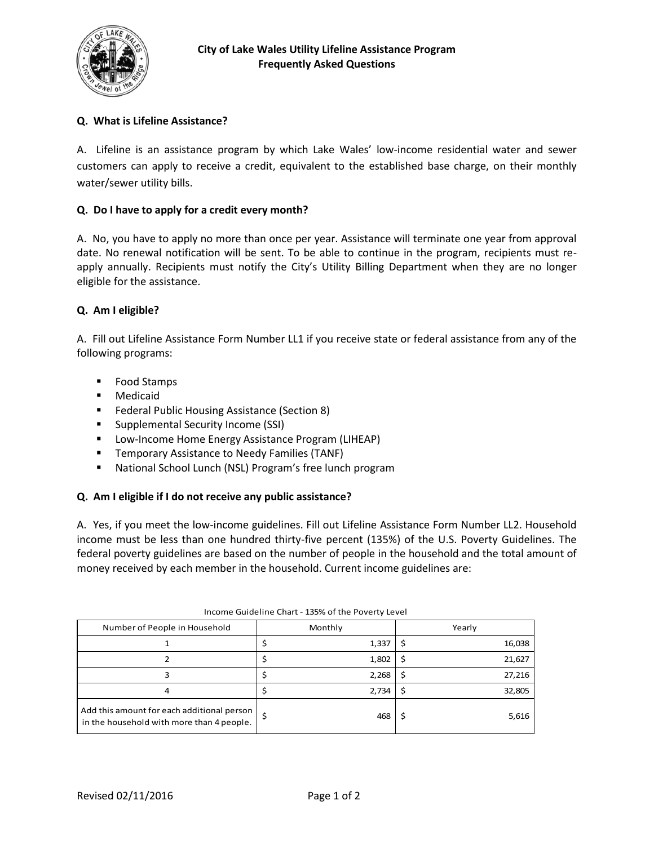

# **Q. What is Lifeline Assistance?**

A. Lifeline is an assistance program by which Lake Wales' low-income residential water and sewer customers can apply to receive a credit, equivalent to the established base charge, on their monthly water/sewer utility bills.

## **Q. Do I have to apply for a credit every month?**

A. No, you have to apply no more than once per year. Assistance will terminate one year from approval date. No renewal notification will be sent. To be able to continue in the program, recipients must reapply annually. Recipients must notify the City's Utility Billing Department when they are no longer eligible for the assistance.

#### **Q. Am I eligible?**

A. Fill out Lifeline Assistance Form Number LL1 if you receive state or federal assistance from any of the following programs:

- Food Stamps
- Medicaid
- **Federal Public Housing Assistance (Section 8)**
- Supplemental Security Income (SSI)
- **Low-Income Home Energy Assistance Program (LIHEAP)**
- **Temporary Assistance to Needy Families (TANF)**
- National School Lunch (NSL) Program's free lunch program

#### **Q. Am I eligible if I do not receive any public assistance?**

A. Yes, if you meet the low-income guidelines. Fill out Lifeline Assistance Form Number LL2. Household income must be less than one hundred thirty-five percent (135%) of the U.S. Poverty Guidelines. The federal poverty guidelines are based on the number of people in the household and the total amount of money received by each member in the household. Current income guidelines are:

| Number of People in Household                                                             | Monthly | Yearly |  |  |  |  |  |
|-------------------------------------------------------------------------------------------|---------|--------|--|--|--|--|--|
|                                                                                           | 1,337   | 16,038 |  |  |  |  |  |
|                                                                                           | 1,802   | 21,627 |  |  |  |  |  |
|                                                                                           | 2,268   | 27,216 |  |  |  |  |  |
| 4                                                                                         | 2,734   | 32,805 |  |  |  |  |  |
| Add this amount for each additional person  <br>in the household with more than 4 people. | 468     | 5,616  |  |  |  |  |  |

Income Guideline Chart - 135% of the Poverty Level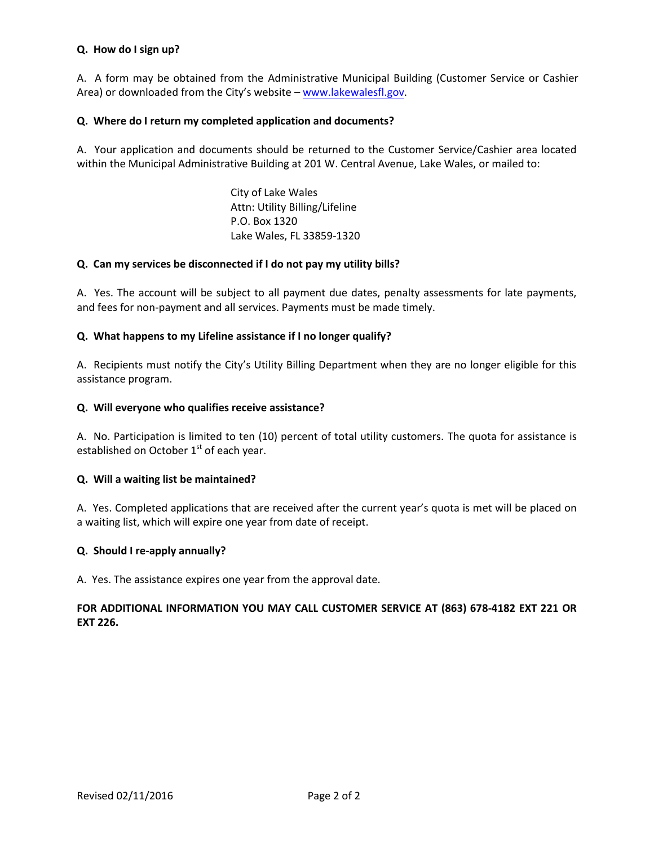#### **Q. How do I sign up?**

A. A form may be obtained from the Administrative Municipal Building (Customer Service or Cashier Area) or downloaded from the City's website – [www.lakewalesfl.gov](https://www.lakewalesfl.gov/).

#### **Q. Where do I return my completed application and documents?**

A. Your application and documents should be returned to the Customer Service/Cashier area located within the Municipal Administrative Building at 201 W. Central Avenue, Lake Wales, or mailed to:

> City of Lake Wales Attn: Utility Billing/Lifeline P.O. Box 1320 Lake Wales, FL 33859-1320

#### **Q. Can my services be disconnected if I do not pay my utility bills?**

A. Yes. The account will be subject to all payment due dates, penalty assessments for late payments, and fees for non-payment and all services. Payments must be made timely.

#### **Q. What happens to my Lifeline assistance if I no longer qualify?**

A. Recipients must notify the City's Utility Billing Department when they are no longer eligible for this assistance program.

#### **Q. Will everyone who qualifies receive assistance?**

A. No. Participation is limited to ten (10) percent of total utility customers. The quota for assistance is established on October  $1<sup>st</sup>$  of each year.

#### **Q. Will a waiting list be maintained?**

A. Yes. Completed applications that are received after the current year's quota is met will be placed on a waiting list, which will expire one year from date of receipt.

#### **Q. Should I re-apply annually?**

A. Yes. The assistance expires one year from the approval date.

## **FOR ADDITIONAL INFORMATION YOU MAY CALL CUSTOMER SERVICE AT (863) 678-4182 EXT 221 OR EXT 226.**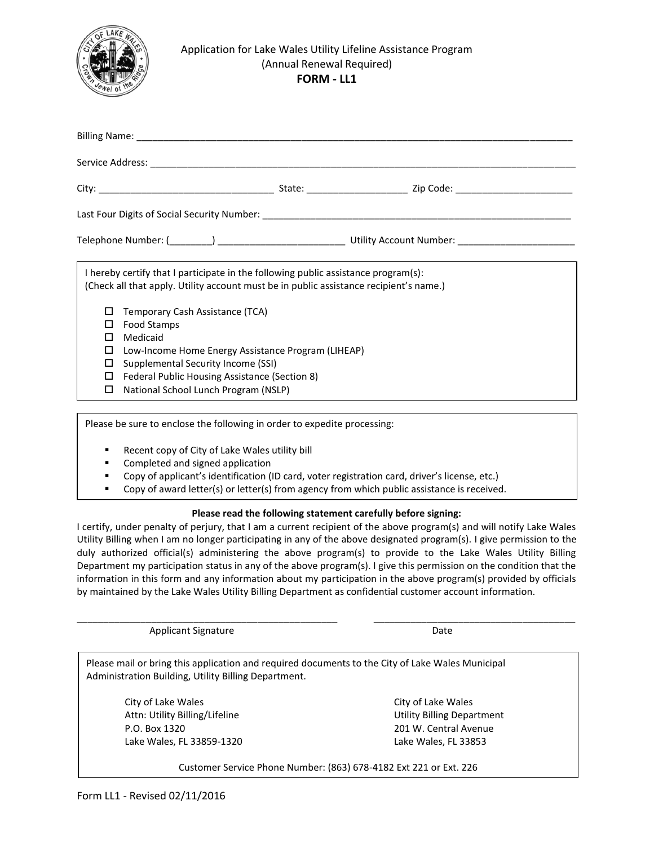

#### Application for Lake Wales Utility Lifeline Assistance Program (Annual Renewal Required) **FORM - LL1**

| I hereby certify that I participate in the following public assistance program(s):<br>(Check all that apply. Utility account must be in public assistance recipient's name.)<br>Temporary Cash Assistance (TCA)<br>Food Stamps<br>Medicaid<br>Low-Income Home Energy Assistance Program (LIHEAP)<br>□<br>Supplemental Security Income (SSI)<br>□<br>Federal Public Housing Assistance (Section 8)<br>□<br>National School Lunch Program (NSLP)<br>□ |  |  |  |  |  |  |  |
|-----------------------------------------------------------------------------------------------------------------------------------------------------------------------------------------------------------------------------------------------------------------------------------------------------------------------------------------------------------------------------------------------------------------------------------------------------|--|--|--|--|--|--|--|

Please be sure to enclose the following in order to expedite processing:

- Recent copy of City of Lake Wales utility bill
- Completed and signed application
- Copy of applicant's identification (ID card, voter registration card, driver's license, etc.)
- Copy of award letter(s) or letter(s) from agency from which public assistance is received.

#### **Please read the following statement carefully before signing:**

I certify, under penalty of perjury, that I am a current recipient of the above program(s) and will notify Lake Wales Utility Billing when I am no longer participating in any of the above designated program(s). I give permission to the duly authorized official(s) administering the above program(s) to provide to the Lake Wales Utility Billing Department my participation status in any of the above program(s). I give this permission on the condition that the information in this form and any information about my participation in the above program(s) provided by officials by maintained by the Lake Wales Utility Billing Department as confidential customer account information.

\_\_\_\_\_\_\_\_\_\_\_\_\_\_\_\_\_\_\_\_\_\_\_\_\_\_\_\_\_\_\_\_\_\_\_\_\_\_\_\_\_\_\_\_\_\_\_\_\_ \_\_\_\_\_\_\_\_\_\_\_\_\_\_\_\_\_\_\_\_\_\_\_\_\_\_\_\_\_\_\_\_\_\_\_\_\_\_

Applicant Signature Date

Please mail or bring this application and required documents to the City of Lake Wales Municipal Administration Building, Utility Billing Department.

City of Lake Wales **City of Lake Wales** Attn: Utility Billing/Lifeline Utility Billing Department P.O. Box 1320 201 W. Central Avenue Lake Wales, FL 33859-1320 Lake Wales, FL 33853

Customer Service Phone Number: (863) 678-4182 Ext 221 or Ext. 226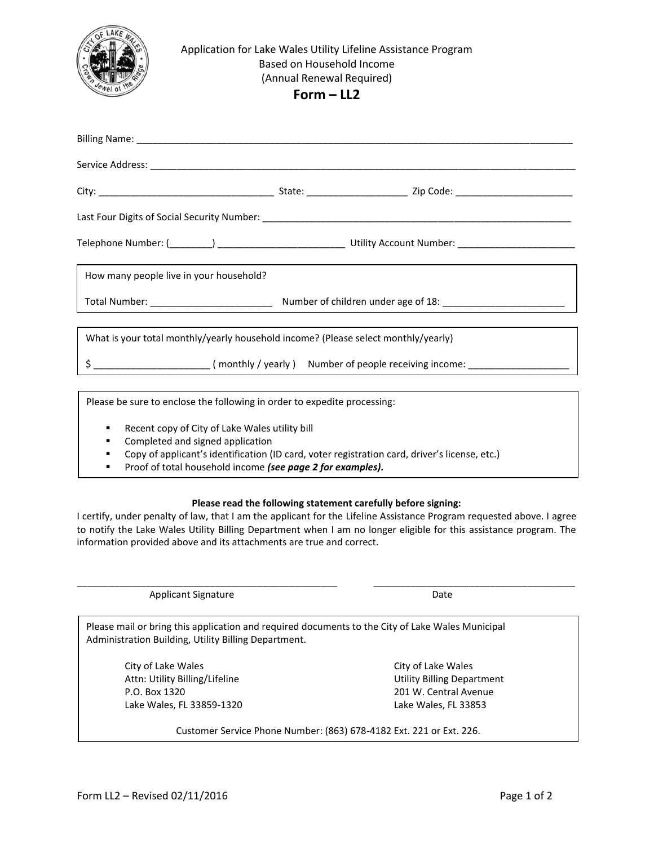

#### Application for Lake Wales Utility Lifeline Assistance Program Based on Household Income (Annual Renewal Required)

**Form – LL2**

| How many people live in your household?                                            |  |  |  |  |  |
|------------------------------------------------------------------------------------|--|--|--|--|--|
|                                                                                    |  |  |  |  |  |
|                                                                                    |  |  |  |  |  |
| What is your total monthly/yearly household income? (Please select monthly/yearly) |  |  |  |  |  |
|                                                                                    |  |  |  |  |  |

Please be sure to enclose the following in order to expedite processing:

- Recent copy of City of Lake Wales utility bill
- Completed and signed application
- Copy of applicant's identification (ID card, voter registration card, driver's license, etc.)
- Proof of total household income *(see page 2 for examples).*

#### **Please read the following statement carefully before signing:**

I certify, under penalty of law, that I am the applicant for the Lifeline Assistance Program requested above. I agree to notify the Lake Wales Utility Billing Department when I am no longer eligible for this assistance program. The information provided above and its attachments are true and correct.

Applicant Signature Date

\_\_\_\_\_\_\_\_\_\_\_\_\_\_\_\_\_\_\_\_\_\_\_\_\_\_\_\_\_\_\_\_\_\_\_\_\_\_\_\_\_\_\_\_\_\_\_\_\_ \_\_\_\_\_\_\_\_\_\_\_\_\_\_\_\_\_\_\_\_\_\_\_\_\_\_\_\_\_\_\_\_\_\_\_\_\_\_

Please mail or bring this application and required documents to the City of Lake Wales Municipal Administration Building, Utility Billing Department.

City of Lake Wales City of Lake Wales Attn: Utility Billing/Lifeline Utility Billing Department P.O. Box 1320 201 W. Central Avenue Lake Wales, FL 33859-1320 Lake Wales, FL 33853

Customer Service Phone Number: (863) 678-4182 Ext. 221 or Ext. 226.